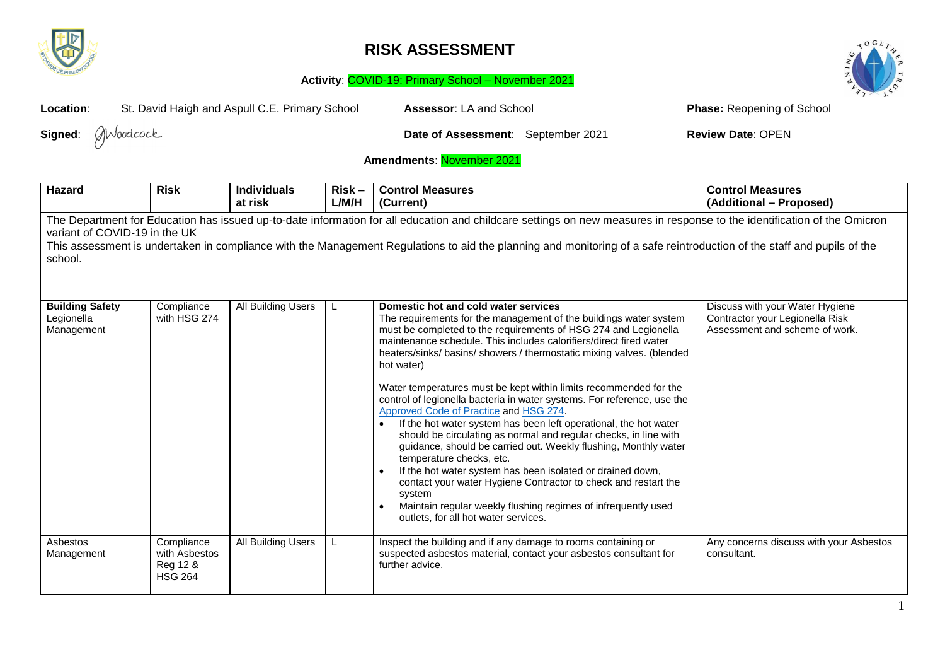

## **RISK ASSESSMENT**





| St. David Haigh and Aspull C.E. Primary School<br>Location:                                                                                                                                                                                                                                                                                                                                    |                                                           |                               |                   | Assessor: LA and School                                                                                                                                                                                                                                                                                                                                                                                                                                                                                                                                                                                                                                                                                                                                                                                                                                                                                                                                                                                                       | <b>Phase: Reopening of School</b>                                                                    |  |  |
|------------------------------------------------------------------------------------------------------------------------------------------------------------------------------------------------------------------------------------------------------------------------------------------------------------------------------------------------------------------------------------------------|-----------------------------------------------------------|-------------------------------|-------------------|-------------------------------------------------------------------------------------------------------------------------------------------------------------------------------------------------------------------------------------------------------------------------------------------------------------------------------------------------------------------------------------------------------------------------------------------------------------------------------------------------------------------------------------------------------------------------------------------------------------------------------------------------------------------------------------------------------------------------------------------------------------------------------------------------------------------------------------------------------------------------------------------------------------------------------------------------------------------------------------------------------------------------------|------------------------------------------------------------------------------------------------------|--|--|
| Signed: <b>Modcock</b>                                                                                                                                                                                                                                                                                                                                                                         |                                                           |                               |                   | Date of Assessment: September 2021                                                                                                                                                                                                                                                                                                                                                                                                                                                                                                                                                                                                                                                                                                                                                                                                                                                                                                                                                                                            | <b>Review Date: OPEN</b>                                                                             |  |  |
|                                                                                                                                                                                                                                                                                                                                                                                                | Amendments: November 2021                                 |                               |                   |                                                                                                                                                                                                                                                                                                                                                                                                                                                                                                                                                                                                                                                                                                                                                                                                                                                                                                                                                                                                                               |                                                                                                      |  |  |
| <b>Hazard</b>                                                                                                                                                                                                                                                                                                                                                                                  | <b>Risk</b>                                               | <b>Individuals</b><br>at risk | $Risk -$<br>L/M/H | <b>Control Measures</b><br>(Current)                                                                                                                                                                                                                                                                                                                                                                                                                                                                                                                                                                                                                                                                                                                                                                                                                                                                                                                                                                                          | <b>Control Measures</b><br>(Additional - Proposed)                                                   |  |  |
| The Department for Education has issued up-to-date information for all education and childcare settings on new measures in response to the identification of the Omicron<br>variant of COVID-19 in the UK<br>This assessment is undertaken in compliance with the Management Regulations to aid the planning and monitoring of a safe reintroduction of the staff and pupils of the<br>school. |                                                           |                               |                   |                                                                                                                                                                                                                                                                                                                                                                                                                                                                                                                                                                                                                                                                                                                                                                                                                                                                                                                                                                                                                               |                                                                                                      |  |  |
| <b>Building Safety</b><br>Legionella<br>Management                                                                                                                                                                                                                                                                                                                                             | Compliance<br>with HSG 274                                | All Building Users            |                   | Domestic hot and cold water services<br>The requirements for the management of the buildings water system<br>must be completed to the requirements of HSG 274 and Legionella<br>maintenance schedule. This includes calorifiers/direct fired water<br>heaters/sinks/ basins/ showers / thermostatic mixing valves. (blended<br>hot water)<br>Water temperatures must be kept within limits recommended for the<br>control of legionella bacteria in water systems. For reference, use the<br>Approved Code of Practice and HSG 274.<br>If the hot water system has been left operational, the hot water<br>should be circulating as normal and regular checks, in line with<br>guidance, should be carried out. Weekly flushing, Monthly water<br>temperature checks, etc.<br>If the hot water system has been isolated or drained down,<br>contact your water Hygiene Contractor to check and restart the<br>system<br>Maintain regular weekly flushing regimes of infrequently used<br>outlets, for all hot water services. | Discuss with your Water Hygiene<br>Contractor your Legionella Risk<br>Assessment and scheme of work. |  |  |
| Asbestos<br>Management                                                                                                                                                                                                                                                                                                                                                                         | Compliance<br>with Asbestos<br>Reg 12 &<br><b>HSG 264</b> | <b>All Building Users</b>     |                   | Inspect the building and if any damage to rooms containing or<br>suspected asbestos material, contact your asbestos consultant for<br>further advice.                                                                                                                                                                                                                                                                                                                                                                                                                                                                                                                                                                                                                                                                                                                                                                                                                                                                         | Any concerns discuss with your Asbestos<br>consultant.                                               |  |  |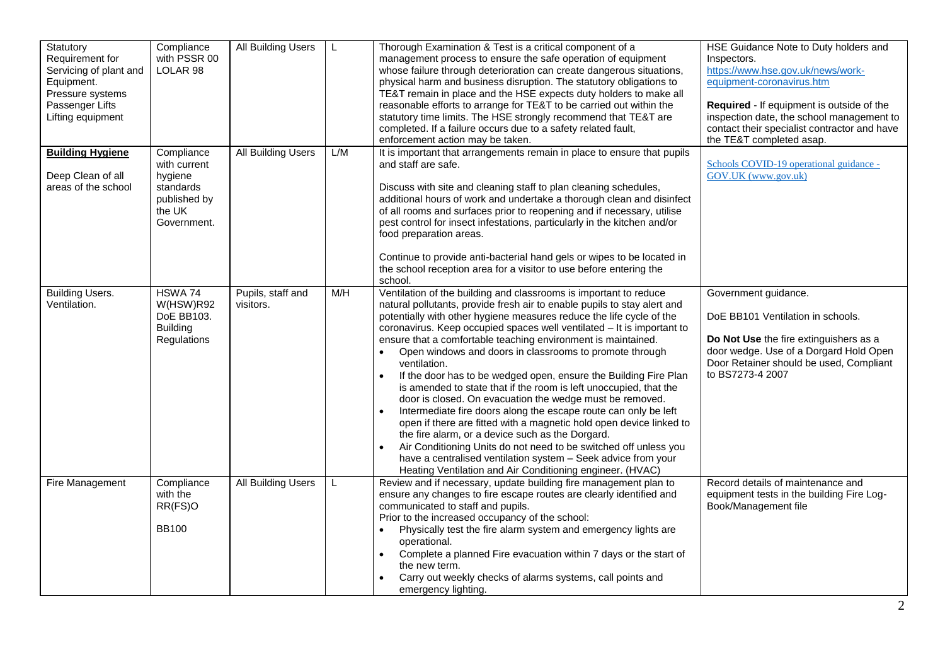| Statutory<br>Requirement for<br>Servicing of plant and<br>Equipment.<br>Pressure systems<br>Passenger Lifts<br>Lifting equipment | Compliance<br>with PSSR 00<br>LOLAR <sub>98</sub>                                           | <b>All Building Users</b>      | L   | Thorough Examination & Test is a critical component of a<br>management process to ensure the safe operation of equipment<br>whose failure through deterioration can create dangerous situations,<br>physical harm and business disruption. The statutory obligations to<br>TE&T remain in place and the HSE expects duty holders to make all<br>reasonable efforts to arrange for TE&T to be carried out within the<br>statutory time limits. The HSE strongly recommend that TE&T are<br>completed. If a failure occurs due to a safety related fault,<br>enforcement action may be taken.                                                                                                                                                                                                                                                                                                                                                                                                                                                                                | HSE Guidance Note to Duty holders and<br>Inspectors.<br>https://www.hse.gov.uk/news/work-<br>equipment-coronavirus.htm<br>Required - If equipment is outside of the<br>inspection date, the school management to<br>contact their specialist contractor and have<br>the TE&T completed asap. |
|----------------------------------------------------------------------------------------------------------------------------------|---------------------------------------------------------------------------------------------|--------------------------------|-----|----------------------------------------------------------------------------------------------------------------------------------------------------------------------------------------------------------------------------------------------------------------------------------------------------------------------------------------------------------------------------------------------------------------------------------------------------------------------------------------------------------------------------------------------------------------------------------------------------------------------------------------------------------------------------------------------------------------------------------------------------------------------------------------------------------------------------------------------------------------------------------------------------------------------------------------------------------------------------------------------------------------------------------------------------------------------------|----------------------------------------------------------------------------------------------------------------------------------------------------------------------------------------------------------------------------------------------------------------------------------------------|
| <b>Building Hygiene</b><br>Deep Clean of all<br>areas of the school                                                              | Compliance<br>with current<br>hygiene<br>standards<br>published by<br>the UK<br>Government. | All Building Users             | L/M | It is important that arrangements remain in place to ensure that pupils<br>and staff are safe.<br>Discuss with site and cleaning staff to plan cleaning schedules,<br>additional hours of work and undertake a thorough clean and disinfect<br>of all rooms and surfaces prior to reopening and if necessary, utilise<br>pest control for insect infestations, particularly in the kitchen and/or<br>food preparation areas.<br>Continue to provide anti-bacterial hand gels or wipes to be located in<br>the school reception area for a visitor to use before entering the<br>school.                                                                                                                                                                                                                                                                                                                                                                                                                                                                                    | Schools COVID-19 operational guidance -<br>GOV.UK (www.gov.uk)                                                                                                                                                                                                                               |
| <b>Building Users.</b><br>Ventilation.                                                                                           | HSWA 74<br>W(HSW)R92<br>DoE BB103.<br><b>Building</b><br>Regulations                        | Pupils, staff and<br>visitors. | M/H | Ventilation of the building and classrooms is important to reduce<br>natural pollutants, provide fresh air to enable pupils to stay alert and<br>potentially with other hygiene measures reduce the life cycle of the<br>coronavirus. Keep occupied spaces well ventilated - It is important to<br>ensure that a comfortable teaching environment is maintained.<br>Open windows and doors in classrooms to promote through<br>ventilation.<br>If the door has to be wedged open, ensure the Building Fire Plan<br>$\bullet$<br>is amended to state that if the room is left unoccupied, that the<br>door is closed. On evacuation the wedge must be removed.<br>Intermediate fire doors along the escape route can only be left<br>$\bullet$<br>open if there are fitted with a magnetic hold open device linked to<br>the fire alarm, or a device such as the Dorgard.<br>Air Conditioning Units do not need to be switched off unless you<br>have a centralised ventilation system - Seek advice from your<br>Heating Ventilation and Air Conditioning engineer. (HVAC) | Government guidance.<br>DoE BB101 Ventilation in schools.<br>Do Not Use the fire extinguishers as a<br>door wedge. Use of a Dorgard Hold Open<br>Door Retainer should be used, Compliant<br>to BS7273-4 2007                                                                                 |
| Fire Management                                                                                                                  | Compliance<br>with the<br>RR(FS)O<br><b>BB100</b>                                           | <b>All Building Users</b>      | L   | Review and if necessary, update building fire management plan to<br>ensure any changes to fire escape routes are clearly identified and<br>communicated to staff and pupils.<br>Prior to the increased occupancy of the school:<br>Physically test the fire alarm system and emergency lights are<br>$\bullet$<br>operational.<br>Complete a planned Fire evacuation within 7 days or the start of<br>$\bullet$<br>the new term.<br>Carry out weekly checks of alarms systems, call points and<br>emergency lighting.                                                                                                                                                                                                                                                                                                                                                                                                                                                                                                                                                      | Record details of maintenance and<br>equipment tests in the building Fire Log-<br>Book/Management file                                                                                                                                                                                       |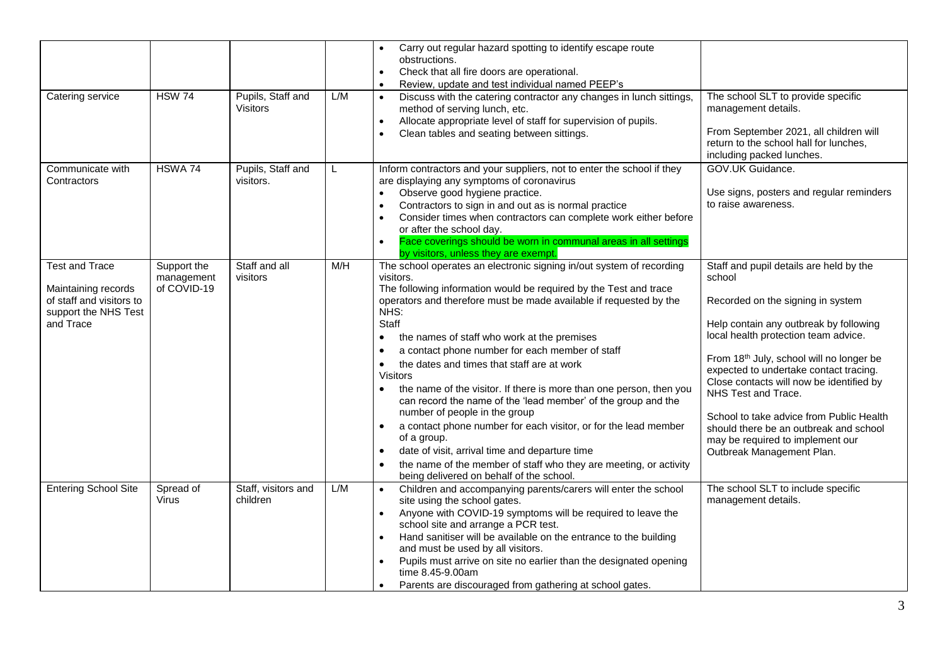| Catering service                                                                                              | <b>HSW 74</b>                            | Pupils, Staff and<br>Visitors   | L/M | Carry out regular hazard spotting to identify escape route<br>obstructions.<br>Check that all fire doors are operational.<br>$\bullet$<br>Review, update and test individual named PEEP's<br>$\bullet$<br>Discuss with the catering contractor any changes in lunch sittings,<br>method of serving lunch, etc.<br>Allocate appropriate level of staff for supervision of pupils.<br>$\bullet$<br>Clean tables and seating between sittings.                                                                                                                                                                                                                                                                                                                                                                                                                                                                                       | The school SLT to provide specific<br>management details.<br>From September 2021, all children will<br>return to the school hall for lunches,<br>including packed lunches.                                                                                                                                                                                                                                                                                                               |
|---------------------------------------------------------------------------------------------------------------|------------------------------------------|---------------------------------|-----|-----------------------------------------------------------------------------------------------------------------------------------------------------------------------------------------------------------------------------------------------------------------------------------------------------------------------------------------------------------------------------------------------------------------------------------------------------------------------------------------------------------------------------------------------------------------------------------------------------------------------------------------------------------------------------------------------------------------------------------------------------------------------------------------------------------------------------------------------------------------------------------------------------------------------------------|------------------------------------------------------------------------------------------------------------------------------------------------------------------------------------------------------------------------------------------------------------------------------------------------------------------------------------------------------------------------------------------------------------------------------------------------------------------------------------------|
| Communicate with<br>Contractors                                                                               | HSWA 74                                  | Pupils, Staff and<br>visitors.  | L   | Inform contractors and your suppliers, not to enter the school if they<br>are displaying any symptoms of coronavirus<br>Observe good hygiene practice.<br>$\bullet$<br>Contractors to sign in and out as is normal practice<br>Consider times when contractors can complete work either before<br>$\bullet$<br>or after the school day.<br>Face coverings should be worn in communal areas in all settings<br>$\bullet$<br>by visitors, unless they are exempt.                                                                                                                                                                                                                                                                                                                                                                                                                                                                   | GOV.UK Guidance.<br>Use signs, posters and regular reminders<br>to raise awareness.                                                                                                                                                                                                                                                                                                                                                                                                      |
| <b>Test and Trace</b><br>Maintaining records<br>of staff and visitors to<br>support the NHS Test<br>and Trace | Support the<br>management<br>of COVID-19 | Staff and all<br>visitors       | M/H | The school operates an electronic signing in/out system of recording<br>visitors.<br>The following information would be required by the Test and trace<br>operators and therefore must be made available if requested by the<br>NHS:<br>Staff<br>the names of staff who work at the premises<br>$\bullet$<br>a contact phone number for each member of staff<br>٠<br>the dates and times that staff are at work<br>$\bullet$<br><b>Visitors</b><br>the name of the visitor. If there is more than one person, then you<br>$\bullet$<br>can record the name of the 'lead member' of the group and the<br>number of people in the group<br>a contact phone number for each visitor, or for the lead member<br>$\bullet$<br>of a group.<br>date of visit, arrival time and departure time<br>$\bullet$<br>the name of the member of staff who they are meeting, or activity<br>$\bullet$<br>being delivered on behalf of the school. | Staff and pupil details are held by the<br>school<br>Recorded on the signing in system<br>Help contain any outbreak by following<br>local health protection team advice.<br>From 18th July, school will no longer be<br>expected to undertake contact tracing.<br>Close contacts will now be identified by<br>NHS Test and Trace.<br>School to take advice from Public Health<br>should there be an outbreak and school<br>may be required to implement our<br>Outbreak Management Plan. |
| <b>Entering School Site</b>                                                                                   | Spread of<br>Virus                       | Staff, visitors and<br>children | L/M | Children and accompanying parents/carers will enter the school<br>site using the school gates.<br>Anyone with COVID-19 symptoms will be required to leave the<br>$\bullet$<br>school site and arrange a PCR test.<br>Hand sanitiser will be available on the entrance to the building<br>$\bullet$<br>and must be used by all visitors.<br>Pupils must arrive on site no earlier than the designated opening<br>time 8.45-9.00am<br>Parents are discouraged from gathering at school gates.<br>$\bullet$                                                                                                                                                                                                                                                                                                                                                                                                                          | The school SLT to include specific<br>management details.                                                                                                                                                                                                                                                                                                                                                                                                                                |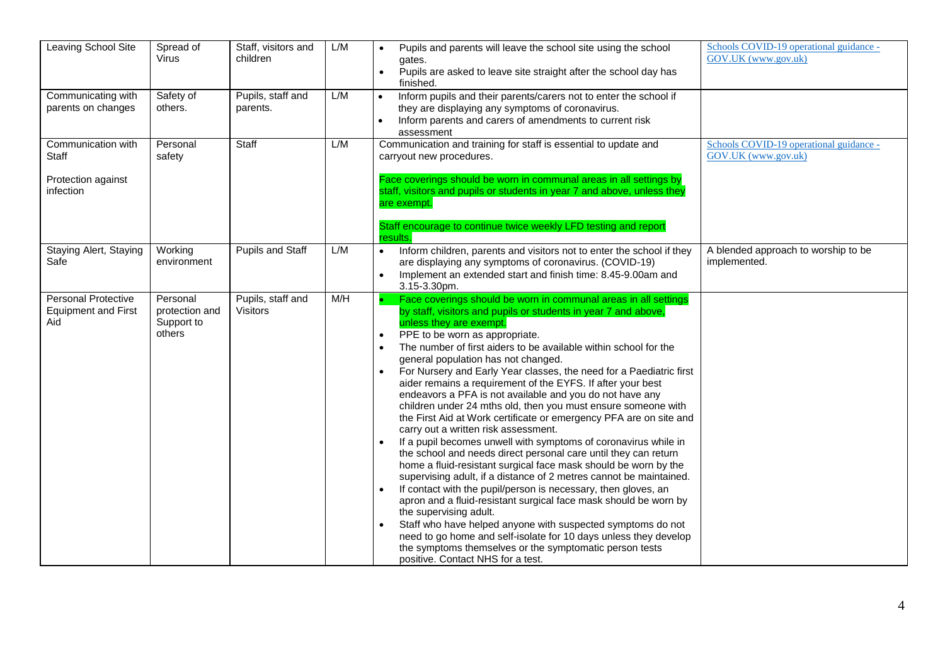| Leaving School Site                                             | Spread of<br><b>Virus</b>                          | Staff, visitors and<br>children      | L/M | Pupils and parents will leave the school site using the school<br>$\bullet$<br>gates.<br>Pupils are asked to leave site straight after the school day has<br>finished.                                                                                                                                                                                                                                                                                                                                                                                                                                                                                                                                                                                                                                                                                                                                                                                                                                                                                                                                                                                                                                                                                                                                                                                                                                              | Schools COVID-19 operational guidance -<br>GOV.UK (www.gov.uk) |
|-----------------------------------------------------------------|----------------------------------------------------|--------------------------------------|-----|---------------------------------------------------------------------------------------------------------------------------------------------------------------------------------------------------------------------------------------------------------------------------------------------------------------------------------------------------------------------------------------------------------------------------------------------------------------------------------------------------------------------------------------------------------------------------------------------------------------------------------------------------------------------------------------------------------------------------------------------------------------------------------------------------------------------------------------------------------------------------------------------------------------------------------------------------------------------------------------------------------------------------------------------------------------------------------------------------------------------------------------------------------------------------------------------------------------------------------------------------------------------------------------------------------------------------------------------------------------------------------------------------------------------|----------------------------------------------------------------|
| Communicating with<br>parents on changes                        | Safety of<br>others.                               | Pupils, staff and<br>parents.        | L/M | Inform pupils and their parents/carers not to enter the school if<br>they are displaying any symptoms of coronavirus.<br>Inform parents and carers of amendments to current risk<br>assessment                                                                                                                                                                                                                                                                                                                                                                                                                                                                                                                                                                                                                                                                                                                                                                                                                                                                                                                                                                                                                                                                                                                                                                                                                      |                                                                |
| Communication with<br>Staff<br>Protection against<br>infection  | Personal<br>safety                                 | Staff                                | L/M | Communication and training for staff is essential to update and<br>carryout new procedures.<br>Face coverings should be worn in communal areas in all settings by<br>staff, visitors and pupils or students in year 7 and above, unless they<br>are exempt.<br>Staff encourage to continue twice weekly LFD testing and report<br>results.                                                                                                                                                                                                                                                                                                                                                                                                                                                                                                                                                                                                                                                                                                                                                                                                                                                                                                                                                                                                                                                                          | Schools COVID-19 operational guidance -<br>GOV.UK (www.gov.uk) |
| Staying Alert, Staying<br>Safe                                  | Working<br>environment                             | Pupils and Staff                     | L/M | Inform children, parents and visitors not to enter the school if they<br>are displaying any symptoms of coronavirus. (COVID-19)<br>Implement an extended start and finish time: 8.45-9.00am and<br>3.15-3.30pm.                                                                                                                                                                                                                                                                                                                                                                                                                                                                                                                                                                                                                                                                                                                                                                                                                                                                                                                                                                                                                                                                                                                                                                                                     | A blended approach to worship to be<br>implemented.            |
| <b>Personal Protective</b><br><b>Equipment and First</b><br>Aid | Personal<br>protection and<br>Support to<br>others | Pupils, staff and<br><b>Visitors</b> | M/H | Face coverings should be worn in communal areas in all settings<br>by staff, visitors and pupils or students in year 7 and above,<br>unless they are exempt.<br>PPE to be worn as appropriate.<br>$\bullet$<br>The number of first aiders to be available within school for the<br>general population has not changed.<br>For Nursery and Early Year classes, the need for a Paediatric first<br>$\bullet$<br>aider remains a requirement of the EYFS. If after your best<br>endeavors a PFA is not available and you do not have any<br>children under 24 mths old, then you must ensure someone with<br>the First Aid at Work certificate or emergency PFA are on site and<br>carry out a written risk assessment.<br>If a pupil becomes unwell with symptoms of coronavirus while in<br>$\bullet$<br>the school and needs direct personal care until they can return<br>home a fluid-resistant surgical face mask should be worn by the<br>supervising adult, if a distance of 2 metres cannot be maintained.<br>If contact with the pupil/person is necessary, then gloves, an<br>apron and a fluid-resistant surgical face mask should be worn by<br>the supervising adult.<br>Staff who have helped anyone with suspected symptoms do not<br>need to go home and self-isolate for 10 days unless they develop<br>the symptoms themselves or the symptomatic person tests<br>positive. Contact NHS for a test. |                                                                |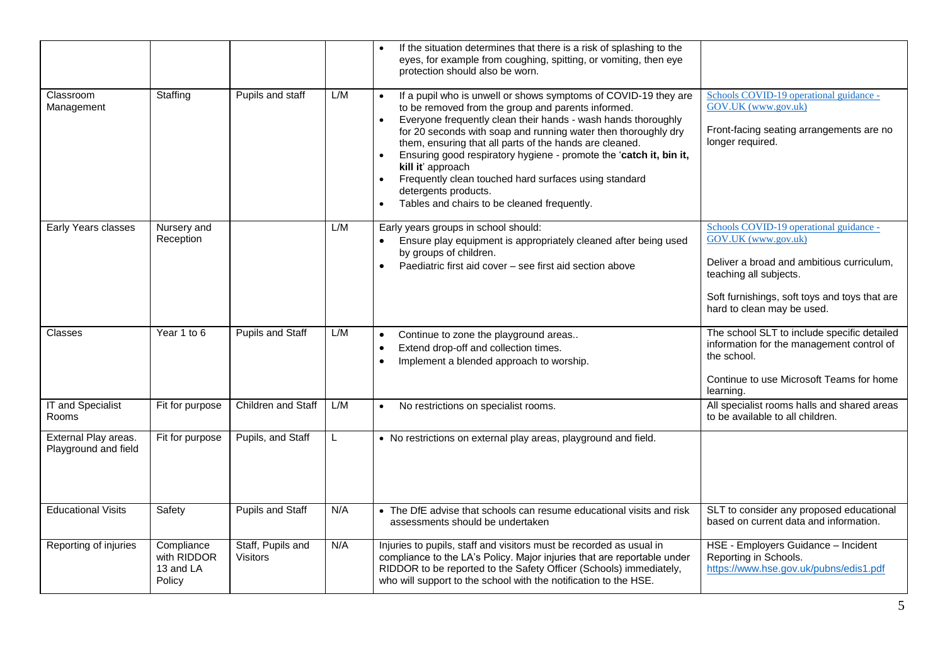|                                              |                                                  |                                      |     | If the situation determines that there is a risk of splashing to the<br>eyes, for example from coughing, spitting, or vomiting, then eye<br>protection should also be worn.                                                                                                                                                                                                                                                                                                                                                                                                           |                                                                                                                                                                                                                      |
|----------------------------------------------|--------------------------------------------------|--------------------------------------|-----|---------------------------------------------------------------------------------------------------------------------------------------------------------------------------------------------------------------------------------------------------------------------------------------------------------------------------------------------------------------------------------------------------------------------------------------------------------------------------------------------------------------------------------------------------------------------------------------|----------------------------------------------------------------------------------------------------------------------------------------------------------------------------------------------------------------------|
| Classroom<br>Management                      | Staffing                                         | Pupils and staff                     | L/M | If a pupil who is unwell or shows symptoms of COVID-19 they are<br>to be removed from the group and parents informed.<br>Everyone frequently clean their hands - wash hands thoroughly<br>$\bullet$<br>for 20 seconds with soap and running water then thoroughly dry<br>them, ensuring that all parts of the hands are cleaned.<br>Ensuring good respiratory hygiene - promote the 'catch it, bin it,<br>kill it' approach<br>Frequently clean touched hard surfaces using standard<br>$\bullet$<br>detergents products.<br>Tables and chairs to be cleaned frequently.<br>$\bullet$ | Schools COVID-19 operational guidance -<br>GOV.UK (www.gov.uk)<br>Front-facing seating arrangements are no<br>longer required.                                                                                       |
| Early Years classes                          | Nursery and<br>Reception                         |                                      | L/M | Early years groups in school should:<br>Ensure play equipment is appropriately cleaned after being used<br>by groups of children.<br>Paediatric first aid cover - see first aid section above<br>$\bullet$                                                                                                                                                                                                                                                                                                                                                                            | Schools COVID-19 operational guidance -<br>GOV.UK (www.gov.uk)<br>Deliver a broad and ambitious curriculum,<br>teaching all subjects.<br>Soft furnishings, soft toys and toys that are<br>hard to clean may be used. |
| Classes                                      | Year 1 to 6                                      | Pupils and Staff                     | L/M | Continue to zone the playground areas<br>$\bullet$<br>Extend drop-off and collection times.<br>$\bullet$<br>Implement a blended approach to worship.<br>$\bullet$                                                                                                                                                                                                                                                                                                                                                                                                                     | The school SLT to include specific detailed<br>information for the management control of<br>the school.<br>Continue to use Microsoft Teams for home<br>learning.                                                     |
| <b>IT and Specialist</b><br>Rooms            | Fit for purpose                                  | <b>Children and Staff</b>            | L/M | No restrictions on specialist rooms.                                                                                                                                                                                                                                                                                                                                                                                                                                                                                                                                                  | All specialist rooms halls and shared areas<br>to be available to all children.                                                                                                                                      |
| External Play areas.<br>Playground and field | Fit for purpose                                  | Pupils, and Staff                    |     | • No restrictions on external play areas, playground and field.                                                                                                                                                                                                                                                                                                                                                                                                                                                                                                                       |                                                                                                                                                                                                                      |
| <b>Educational Visits</b>                    | Safety                                           | <b>Pupils and Staff</b>              | N/A | • The DfE advise that schools can resume educational visits and risk<br>assessments should be undertaken                                                                                                                                                                                                                                                                                                                                                                                                                                                                              | SLT to consider any proposed educational<br>based on current data and information.                                                                                                                                   |
| Reporting of injuries                        | Compliance<br>with RIDDOR<br>13 and LA<br>Policy | Staff, Pupils and<br><b>Visitors</b> | N/A | Injuries to pupils, staff and visitors must be recorded as usual in<br>compliance to the LA's Policy. Major injuries that are reportable under<br>RIDDOR to be reported to the Safety Officer (Schools) immediately,<br>who will support to the school with the notification to the HSE.                                                                                                                                                                                                                                                                                              | HSE - Employers Guidance - Incident<br>Reporting in Schools.<br>https://www.hse.gov.uk/pubns/edis1.pdf                                                                                                               |